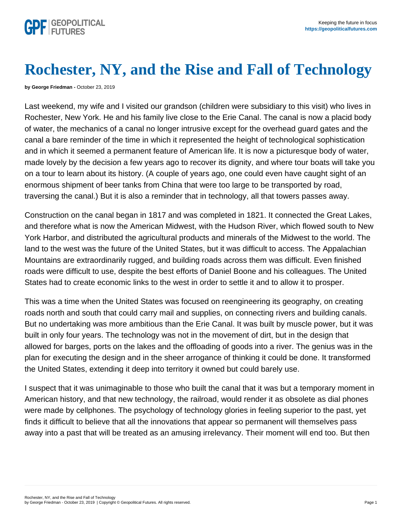## Rochester, NY, and the Rise and Fall of Technology

by George Friedman - October 23, 2019

Last weekend, my wife and I visited our grandson (children were subsidiary to this visit) who lives in Rochester, New York. He and his family live close to the Erie Canal. The canal is now a placid body of water, the mechanics of a canal no longer intrusive except for the overhead guard gates and the canal a bare reminder of the time in which it represented the height of technological sophistication and in which it seemed a permanent feature of American life. It is now a picturesque body of water, made lovely by the decision a few years ago to recover its dignity, and where tour boats will take you on a tour to learn about its history. (A couple of years ago, one could even have caught sight of an enormous shipment of beer tanks from China that were too large to be transported by road, traversing the canal.) But it is also a reminder that in technology, all that towers passes away.

Construction on the canal began in 1817 and was completed in 1821. It connected the Great Lakes, and therefore what is now the American Midwest, with the Hudson River, which flowed south to New York Harbor, and distributed the agricultural products and minerals of the Midwest to the world. The land to the west was the future of the United States, but it was difficult to access. The Appalachian Mountains are extraordinarily rugged, and building roads across them was difficult. Even finished roads were difficult to use, despite the best efforts of Daniel Boone and his colleagues. The United States had to create economic links to the west in order to settle it and to allow it to prosper.

This was a time when the United States was focused on reengineering its geography, on creating roads north and south that could carry mail and supplies, on connecting rivers and building canals. But no undertaking was more ambitious than the Erie Canal. It was built by muscle power, but it was built in only four years. The technology was not in the movement of dirt, but in the design that allowed for barges, ports on the lakes and the offloading of goods into a river. The genius was in the plan for executing the design and in the sheer arrogance of thinking it could be done. It transformed the United States, extending it deep into territory it owned but could barely use.

I suspect that it was unimaginable to those who built the canal that it was but a temporary moment in American history, and that new technology, the railroad, would render it as obsolete as dial phones were made by cellphones. The psychology of technology glories in feeling superior to the past, yet finds it difficult to believe that all the innovations that appear so permanent will themselves pass away into a past that will be treated as an amusing irrelevancy. Their moment will end too. But then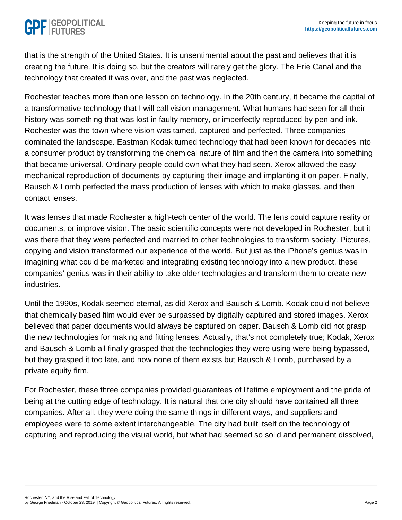that is the strength of the United States. It is unsentimental about the past and believes that it is creating the future. It is doing so, but the creators will rarely get the glory. The Erie Canal and the technology that created it was over, and the past was neglected.

Rochester teaches more than one lesson on technology. In the 20th century, it became the capital of a transformative technology that I will call vision management. What humans had seen for all their history was something that was lost in faulty memory, or imperfectly reproduced by pen and ink. Rochester was the town where vision was tamed, captured and perfected. Three companies dominated the landscape. Eastman Kodak turned technology that had been known for decades into a consumer product by transforming the chemical nature of film and then the camera into something that became universal. Ordinary people could own what they had seen. Xerox allowed the easy mechanical reproduction of documents by capturing their image and implanting it on paper. Finally, Bausch & Lomb perfected the mass production of lenses with which to make glasses, and then contact lenses.

It was lenses that made Rochester a high-tech center of the world. The lens could capture reality or documents, or improve vision. The basic scientific concepts were not developed in Rochester, but it was there that they were perfected and married to other technologies to transform society. Pictures, copying and vision transformed our experience of the world. But just as the iPhone's genius was in imagining what could be marketed and integrating existing technology into a new product, these companies' genius was in their ability to take older technologies and transform them to create new industries.

Until the 1990s, Kodak seemed eternal, as did Xerox and Bausch & Lomb. Kodak could not believe that chemically based film would ever be surpassed by digitally captured and stored images. Xerox believed that paper documents would always be captured on paper. Bausch & Lomb did not grasp the new technologies for making and fitting lenses. Actually, that's not completely true; Kodak, Xerox and Bausch & Lomb all finally grasped that the technologies they were using were being bypassed, but they grasped it too late, and now none of them exists but Bausch & Lomb, purchased by a private equity firm.

For Rochester, these three companies provided guarantees of lifetime employment and the pride of being at the cutting edge of technology. It is natural that one city should have contained all three companies. After all, they were doing the same things in different ways, and suppliers and employees were to some extent interchangeable. The city had built itself on the technology of capturing and reproducing the visual world, but what had seemed so solid and permanent dissolved,